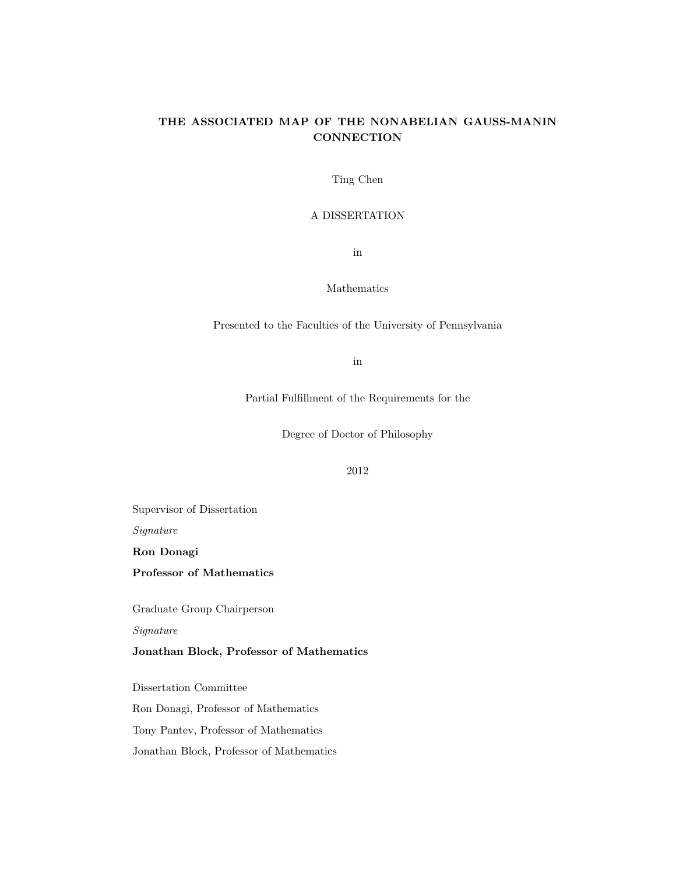# THE ASSOCIATED MAP OF THE NONABELIAN GAUSS-MANIN **CONNECTION**

Ting Chen

### A DISSERTATION

in

### Mathematics

Presented to the Faculties of the University of Pennsylvania

in

Partial Fulfillment of the Requirements for the

Degree of Doctor of Philosophy

# 2012

Supervisor of Dissertation

Signature

Ron Donagi

Professor of Mathematics

Graduate Group Chairperson

Signature

Jonathan Block, Professor of Mathematics

Dissertation Committee

Ron Donagi, Professor of Mathematics

Tony Pantev, Professor of Mathematics

Jonathan Block, Professor of Mathematics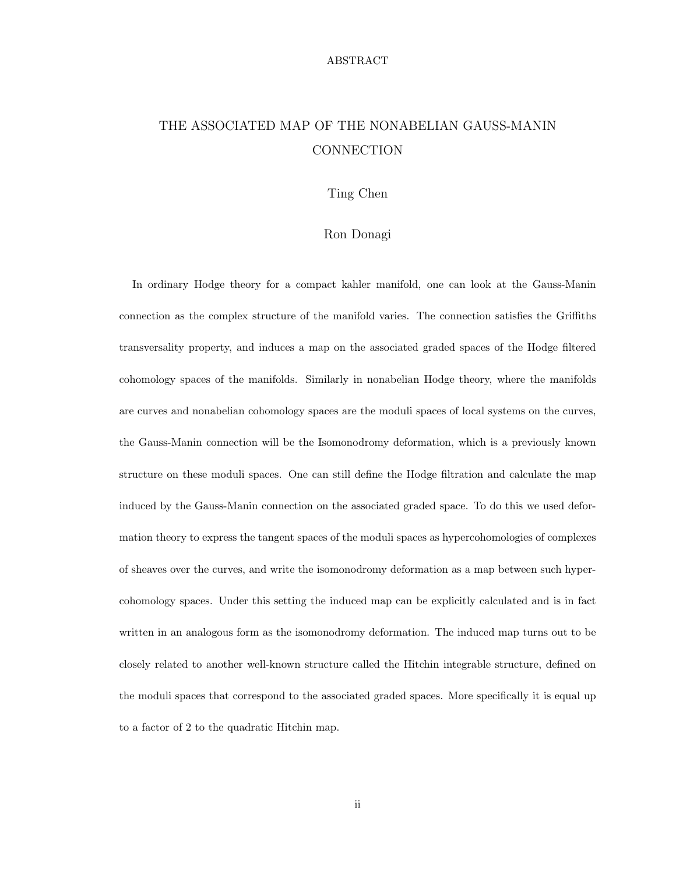### ABSTRACT

# THE ASSOCIATED MAP OF THE NONABELIAN GAUSS-MANIN **CONNECTION**

# Ting Chen

## Ron Donagi

In ordinary Hodge theory for a compact kahler manifold, one can look at the Gauss-Manin connection as the complex structure of the manifold varies. The connection satisfies the Griffiths transversality property, and induces a map on the associated graded spaces of the Hodge filtered cohomology spaces of the manifolds. Similarly in nonabelian Hodge theory, where the manifolds are curves and nonabelian cohomology spaces are the moduli spaces of local systems on the curves, the Gauss-Manin connection will be the Isomonodromy deformation, which is a previously known structure on these moduli spaces. One can still define the Hodge filtration and calculate the map induced by the Gauss-Manin connection on the associated graded space. To do this we used deformation theory to express the tangent spaces of the moduli spaces as hypercohomologies of complexes of sheaves over the curves, and write the isomonodromy deformation as a map between such hypercohomology spaces. Under this setting the induced map can be explicitly calculated and is in fact written in an analogous form as the isomonodromy deformation. The induced map turns out to be closely related to another well-known structure called the Hitchin integrable structure, defined on the moduli spaces that correspond to the associated graded spaces. More specifically it is equal up to a factor of 2 to the quadratic Hitchin map.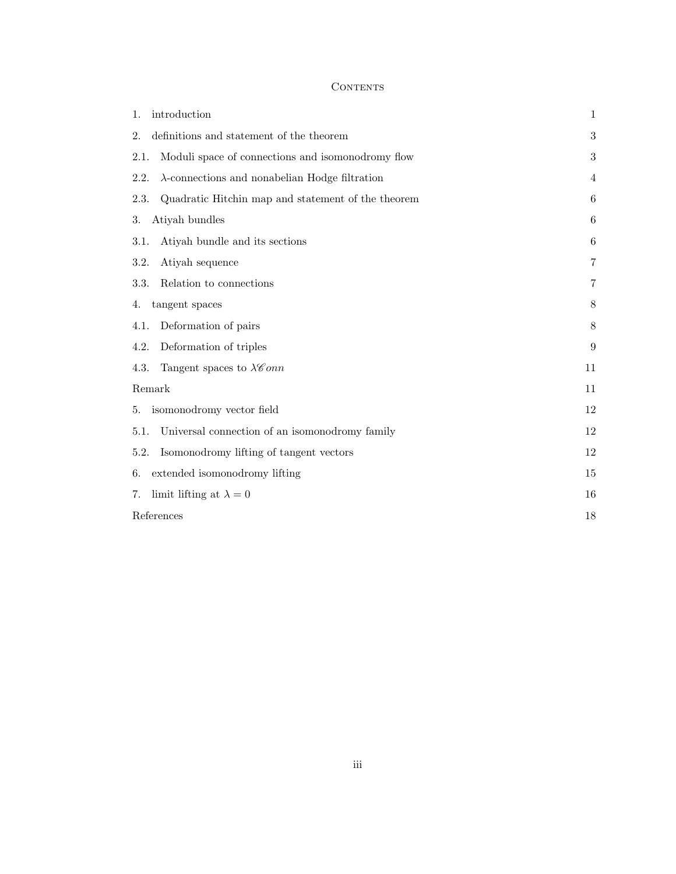# **CONTENTS**

| introduction<br>1.                                             | 1                |
|----------------------------------------------------------------|------------------|
| definitions and statement of the theorem<br>2.                 | $\boldsymbol{3}$ |
| Moduli space of connections and isomonodromy flow<br>2.1.      | $\boldsymbol{3}$ |
| $\lambda$ -connections and nonabelian Hodge filtration<br>2.2. | $\overline{4}$   |
| 2.3.<br>Quadratic Hitchin map and statement of the theorem     | 6                |
| Atiyah bundles<br>3.                                           | 6                |
| Atiyah bundle and its sections<br>3.1.                         | 6                |
| Atiyah sequence<br>3.2.                                        | 7                |
| 3.3.<br>Relation to connections                                | 7                |
| tangent spaces<br>4.                                           | 8                |
| Deformation of pairs<br>4.1.                                   | 8                |
| Deformation of triples<br>4.2.                                 | 9                |
| Tangent spaces to $\lambda \mathscr{C}onn$<br>4.3.             | 11               |
| Remark                                                         | 11               |
| isomonodromy vector field<br>5.                                | 12               |
| Universal connection of an isomonodromy family<br>5.1.         | 12               |
| Isomonodromy lifting of tangent vectors<br>5.2.                | 12               |
| extended isomonodromy lifting<br>6.                            | 15               |
| limit lifting at $\lambda = 0$<br>7.                           | 16               |
| References                                                     | 18               |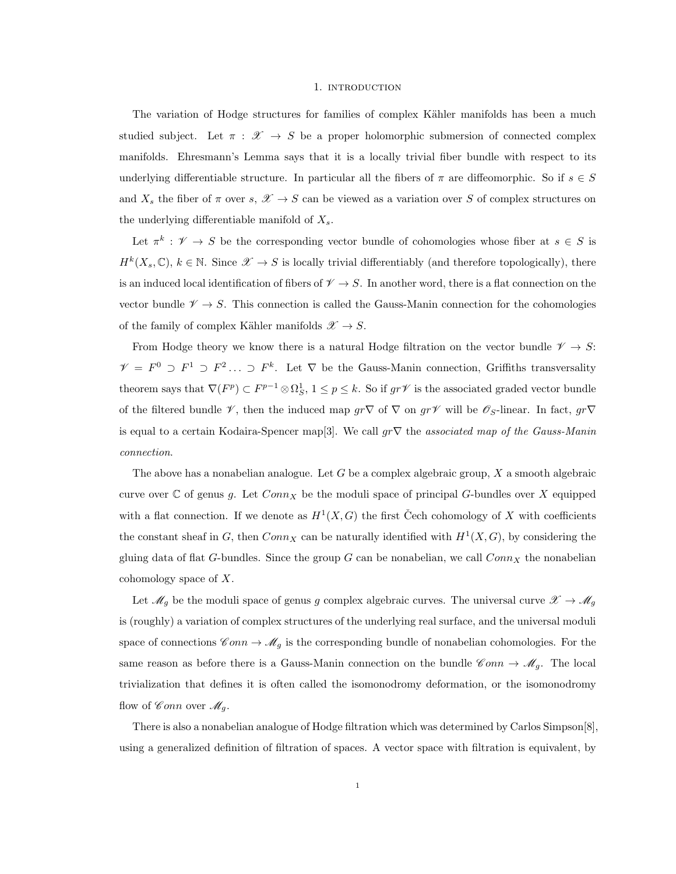#### 1. INTRODUCTION

The variation of Hodge structures for families of complex Kähler manifolds has been a much studied subject. Let  $\pi : \mathscr{X} \to S$  be a proper holomorphic submersion of connected complex manifolds. Ehresmann's Lemma says that it is a locally trivial fiber bundle with respect to its underlying differentiable structure. In particular all the fibers of  $\pi$  are diffeomorphic. So if  $s \in S$ and  $X_s$  the fiber of  $\pi$  over  $s, \mathscr{X} \to S$  can be viewed as a variation over S of complex structures on the underlying differentiable manifold of  $X_s$ .

Let  $\pi^k : \mathscr{V} \to S$  be the corresponding vector bundle of cohomologies whose fiber at  $s \in S$  is  $H^k(X_s, \mathbb{C}), k \in \mathbb{N}$ . Since  $\mathscr{X} \to S$  is locally trivial differentiably (and therefore topologically), there is an induced local identification of fibers of  $\mathscr{V} \to S$ . In another word, there is a flat connection on the vector bundle  $\mathscr{V} \to S$ . This connection is called the Gauss-Manin connection for the cohomologies of the family of complex Kähler manifolds  $\mathscr{X} \to S$ .

From Hodge theory we know there is a natural Hodge filtration on the vector bundle  $\mathscr{V} \to S$ :  $\mathscr{V} = F^0 \supset F^1 \supset F^2 \ldots \supset F^k$ . Let  $\nabla$  be the Gauss-Manin connection, Griffiths transversality theorem says that  $\nabla(F^p) \subset F^{p-1} \otimes \Omega_S^1$ ,  $1 \leq p \leq k$ . So if  $gr\mathscr{V}$  is the associated graded vector bundle of the filtered bundle  $\mathscr V$ , then the induced map  $gr\nabla$  of  $\nabla$  on  $gr\mathscr V$  will be  $\mathscr O_S$ -linear. In fact,  $gr\nabla$ is equal to a certain Kodaira-Spencer map<sup>[3]</sup>. We call  $gr\nabla$  the associated map of the Gauss-Manin connection.

The above has a nonabelian analogue. Let  $G$  be a complex algebraic group,  $X$  a smooth algebraic curve over  $\mathbb C$  of genus g. Let  $Conn_X$  be the moduli space of principal G-bundles over X equipped with a flat connection. If we denote as  $H^1(X, G)$  the first Cech cohomology of X with coefficients the constant sheaf in G, then  $Conn_X$  can be naturally identified with  $H^1(X, G)$ , by considering the gluing data of flat G-bundles. Since the group G can be nonabelian, we call  $Conn_X$  the nonabelian cohomology space of X.

Let  $\mathcal{M}_g$  be the moduli space of genus g complex algebraic curves. The universal curve  $\mathcal{X} \to \mathcal{M}_g$ is (roughly) a variation of complex structures of the underlying real surface, and the universal moduli space of connections  $\mathscr{C}onn \to \mathscr{M}_g$  is the corresponding bundle of nonabelian cohomologies. For the same reason as before there is a Gauss-Manin connection on the bundle  $\mathscr{C}onn \to \mathscr{M}_g$ . The local trivialization that defines it is often called the isomonodromy deformation, or the isomonodromy flow of Conn over  $\mathcal{M}_q$ .

There is also a nonabelian analogue of Hodge filtration which was determined by Carlos Simpson[8], using a generalized definition of filtration of spaces. A vector space with filtration is equivalent, by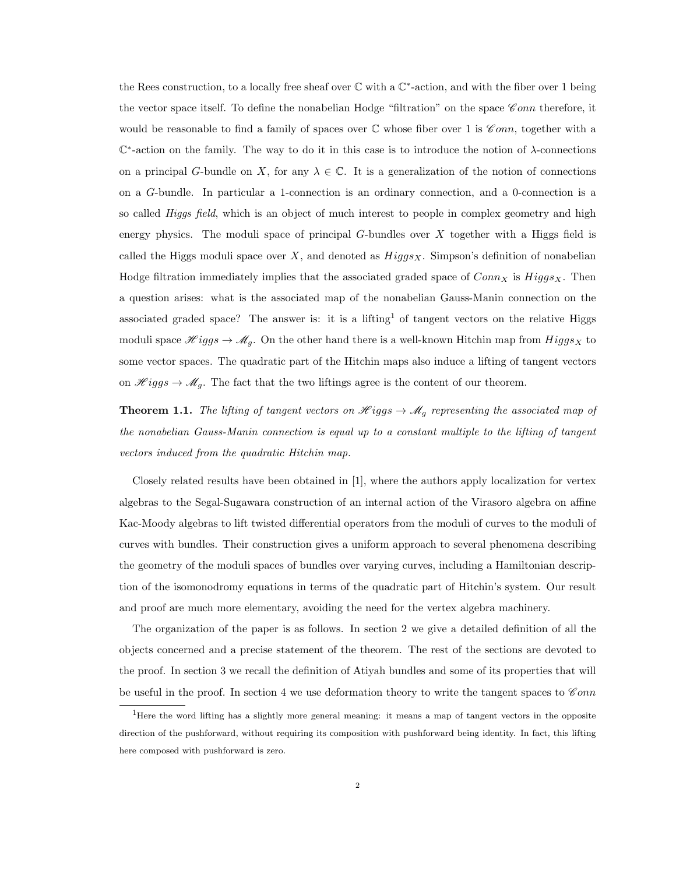the Rees construction, to a locally free sheaf over  $\mathbb C$  with a  $\mathbb C^*$ -action, and with the fiber over 1 being the vector space itself. To define the nonabelian Hodge "filtration" on the space  $\mathscr Com$  therefore, it would be reasonable to find a family of spaces over  $\mathbb C$  whose fiber over 1 is  $\mathscr Com$ , together with a C ∗ -action on the family. The way to do it in this case is to introduce the notion of λ-connections on a principal G-bundle on X, for any  $\lambda \in \mathbb{C}$ . It is a generalization of the notion of connections on a G-bundle. In particular a 1-connection is an ordinary connection, and a 0-connection is a so called *Higgs field*, which is an object of much interest to people in complex geometry and high energy physics. The moduli space of principal  $G$ -bundles over  $X$  together with a Higgs field is called the Higgs moduli space over X, and denoted as  $Higgs_X$ . Simpson's definition of nonabelian Hodge filtration immediately implies that the associated graded space of  $Conn_X$  is  $Higgs_X$ . Then a question arises: what is the associated map of the nonabelian Gauss-Manin connection on the associated graded space? The answer is: it is a lifting<sup>1</sup> of tangent vectors on the relative Higgs moduli space  $\mathcal{H}iggs \to \mathcal{M}_q$ . On the other hand there is a well-known Hitchin map from  $Higgs_X$  to some vector spaces. The quadratic part of the Hitchin maps also induce a lifting of tangent vectors on  $\mathcal{H}iggs \to \mathcal{M}_q$ . The fact that the two liftings agree is the content of our theorem.

**Theorem 1.1.** The lifting of tangent vectors on  $\mathcal{H}iggs \to \mathcal{M}_g$  representing the associated map of the nonabelian Gauss-Manin connection is equal up to a constant multiple to the lifting of tangent vectors induced from the quadratic Hitchin map.

Closely related results have been obtained in [1], where the authors apply localization for vertex algebras to the Segal-Sugawara construction of an internal action of the Virasoro algebra on affine Kac-Moody algebras to lift twisted differential operators from the moduli of curves to the moduli of curves with bundles. Their construction gives a uniform approach to several phenomena describing the geometry of the moduli spaces of bundles over varying curves, including a Hamiltonian description of the isomonodromy equations in terms of the quadratic part of Hitchin's system. Our result and proof are much more elementary, avoiding the need for the vertex algebra machinery.

The organization of the paper is as follows. In section 2 we give a detailed definition of all the objects concerned and a precise statement of the theorem. The rest of the sections are devoted to the proof. In section 3 we recall the definition of Atiyah bundles and some of its properties that will be useful in the proof. In section 4 we use deformation theory to write the tangent spaces to  $\mathscr{C}onn$ 

<sup>1</sup>Here the word lifting has a slightly more general meaning: it means a map of tangent vectors in the opposite direction of the pushforward, without requiring its composition with pushforward being identity. In fact, this lifting here composed with pushforward is zero.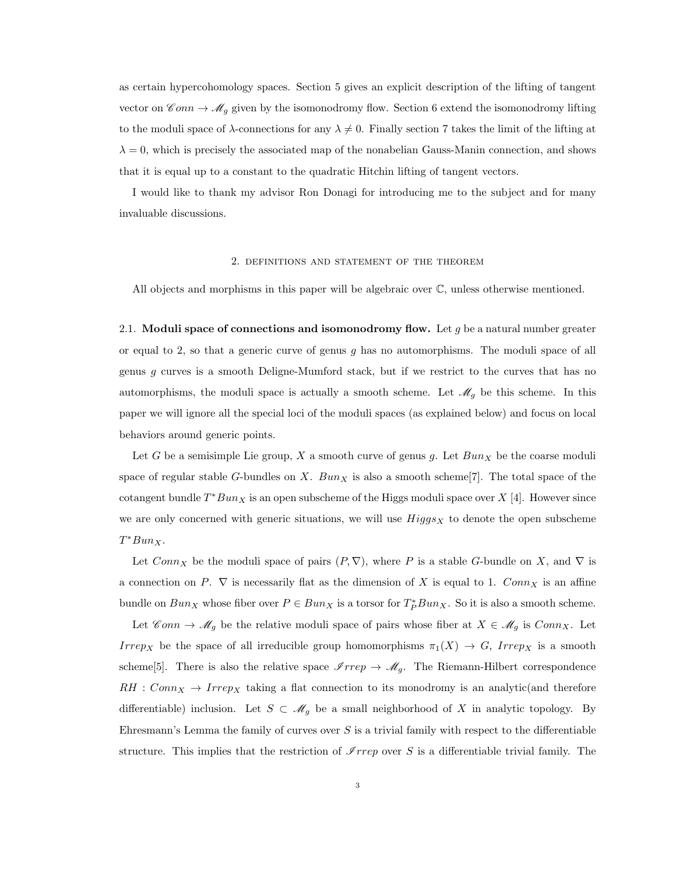as certain hypercohomology spaces. Section 5 gives an explicit description of the lifting of tangent vector on  $\mathscr{C}$ *onn*  $\to \mathscr{M}_g$  given by the isomonodromy flow. Section 6 extend the isomonodromy lifting to the moduli space of  $\lambda$ -connections for any  $\lambda \neq 0$ . Finally section 7 takes the limit of the lifting at  $\lambda = 0$ , which is precisely the associated map of the nonabelian Gauss-Manin connection, and shows that it is equal up to a constant to the quadratic Hitchin lifting of tangent vectors.

I would like to thank my advisor Ron Donagi for introducing me to the subject and for many invaluable discussions.

### 2. definitions and statement of the theorem

All objects and morphisms in this paper will be algebraic over C, unless otherwise mentioned.

2.1. Moduli space of connections and isomonodromy flow. Let  $q$  be a natural number greater or equal to 2, so that a generic curve of genus  $g$  has no automorphisms. The moduli space of all genus g curves is a smooth Deligne-Mumford stack, but if we restrict to the curves that has no automorphisms, the moduli space is actually a smooth scheme. Let  $\mathcal{M}_g$  be this scheme. In this paper we will ignore all the special loci of the moduli spaces (as explained below) and focus on local behaviors around generic points.

Let G be a semisimple Lie group, X a smooth curve of genus g. Let  $Bun<sub>X</sub>$  be the coarse moduli space of regular stable G-bundles on X. Bun<sub>X</sub> is also a smooth scheme [7]. The total space of the cotangent bundle  $T^*Bun_X$  is an open subscheme of the Higgs moduli space over X [4]. However since we are only concerned with generic situations, we will use  $Higgs_X$  to denote the open subscheme  $T^*Bun_X.$ 

Let  $Conn_X$  be the moduli space of pairs  $(P, \nabla)$ , where P is a stable G-bundle on X, and  $\nabla$  is a connection on P.  $\nabla$  is necessarily flat as the dimension of X is equal to 1.  $Conn_X$  is an affine bundle on  $Bun_X$  whose fiber over  $P \in Bun_X$  is a torsor for  $T_P^*Bun_X$ . So it is also a smooth scheme.

Let  $\mathscr{C}onn \to \mathscr{M}_g$  be the relative moduli space of pairs whose fiber at  $X \in \mathscr{M}_g$  is  $Conn_X$ . Let Irrep<sub>X</sub> be the space of all irreducible group homomorphisms  $\pi_1(X) \to G$ , Irrep<sub>X</sub> is a smooth scheme<sup>[5]</sup>. There is also the relative space  $\mathscr{I}$ rrep  $\rightarrow \mathscr{M}_g$ . The Riemann-Hilbert correspondence  $RH : Conn_X \rightarrow Irrep_X$  taking a flat connection to its monodromy is an analytic(and therefore differentiable) inclusion. Let  $S \subset \mathcal{M}_g$  be a small neighborhood of X in analytic topology. By Ehresmann's Lemma the family of curves over  $S$  is a trivial family with respect to the differentiable structure. This implies that the restriction of  $\Im$  rrep over S is a differentiable trivial family. The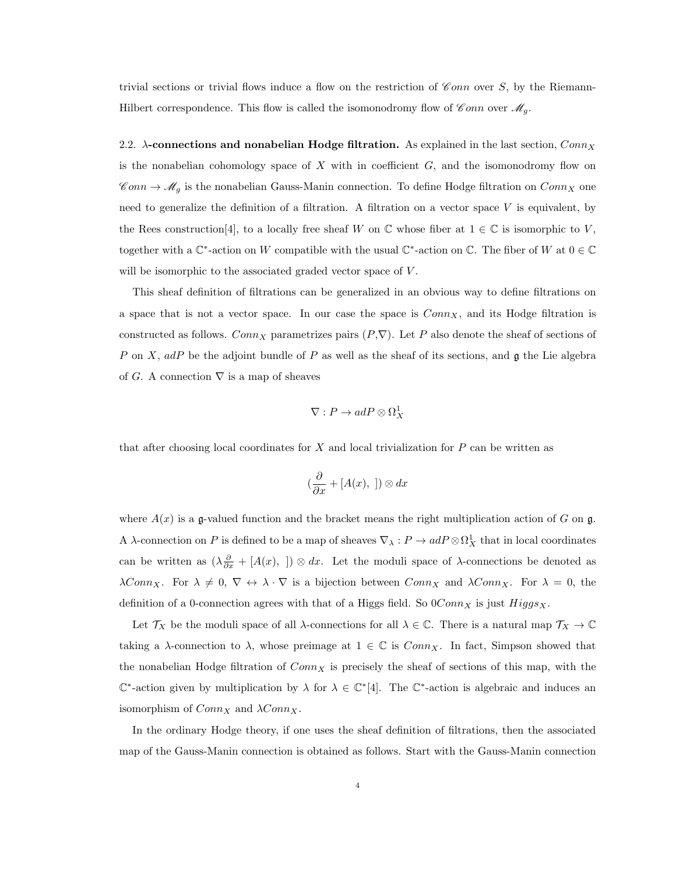trivial sections or trivial flows induce a flow on the restriction of  $\mathscr{C}onn$  over S, by the Riemann-Hilbert correspondence. This flow is called the isomonodromy flow of  $\mathscr Com$  over  $\mathscr M_g$ .

2.2.  $\lambda$ -connections and nonabelian Hodge filtration. As explained in the last section,  $Conn_X$ is the nonabelian cohomology space of X with in coefficient  $G$ , and the isomonodromy flow on  $\mathscr{C}onn \to \mathscr{M}_g$  is the nonabelian Gauss-Manin connection. To define Hodge filtration on  $Conn_X$  one need to generalize the definition of a filtration. A filtration on a vector space  $V$  is equivalent, by the Rees construction[4], to a locally free sheaf W on  $\mathbb C$  whose fiber at  $1 \in \mathbb C$  is isomorphic to V, together with a  $\mathbb{C}^*$ -action on W compatible with the usual  $\mathbb{C}^*$ -action on  $\mathbb{C}$ . The fiber of W at  $0 \in \mathbb{C}$ will be isomorphic to the associated graded vector space of  $V$ .

This sheaf definition of filtrations can be generalized in an obvious way to define filtrations on a space that is not a vector space. In our case the space is  $Conn_X$ , and its Hodge filtration is constructed as follows. Conn<sub>X</sub> parametrizes pairs  $(P, \nabla)$ . Let P also denote the sheaf of sections of P on X, adP be the adjoint bundle of P as well as the sheaf of its sections, and  $\mathfrak g$  the Lie algebra of G. A connection  $\nabla$  is a map of sheaves

$$
\nabla: P \to adP \otimes \Omega^1_X
$$

that after choosing local coordinates for  $X$  and local trivialization for  $P$  can be written as

$$
(\frac{\partial}{\partial x} + [A(x),\ ]) \otimes dx
$$

where  $A(x)$  is a g-valued function and the bracket means the right multiplication action of G on g. A  $\lambda$ -connection on P is defined to be a map of sheaves  $\nabla_{\lambda}: P \to adP\otimes \Omega^1_X$  that in local coordinates can be written as  $(\lambda \frac{\partial}{\partial x} + [A(x),]) \otimes dx$ . Let the moduli space of  $\lambda$ -connections be denoted as  $\lambda Conn_X$ . For  $\lambda \neq 0$ ,  $\nabla \leftrightarrow \lambda \cdot \nabla$  is a bijection between  $Conn_X$  and  $\lambda Conn_X$ . For  $\lambda = 0$ , the definition of a 0-connection agrees with that of a Higgs field. So  $0Conn_X$  is just  $Higgs_X$ .

Let  $\mathcal{T}_X$  be the moduli space of all  $\lambda$ -connections for all  $\lambda \in \mathbb{C}$ . There is a natural map  $\mathcal{T}_X \to \mathbb{C}$ taking a  $\lambda$ -connection to  $\lambda$ , whose preimage at  $1 \in \mathbb{C}$  is  $Conn_X$ . In fact, Simpson showed that the nonabelian Hodge filtration of  $Conn_X$  is precisely the sheaf of sections of this map, with the  $\mathbb{C}^*$ -action given by multiplication by  $\lambda$  for  $\lambda \in \mathbb{C}^*[4]$ . The  $\mathbb{C}^*$ -action is algebraic and induces an isomorphism of  $Conn_X$  and  $\lambda Conn_X$ .

In the ordinary Hodge theory, if one uses the sheaf definition of filtrations, then the associated map of the Gauss-Manin connection is obtained as follows. Start with the Gauss-Manin connection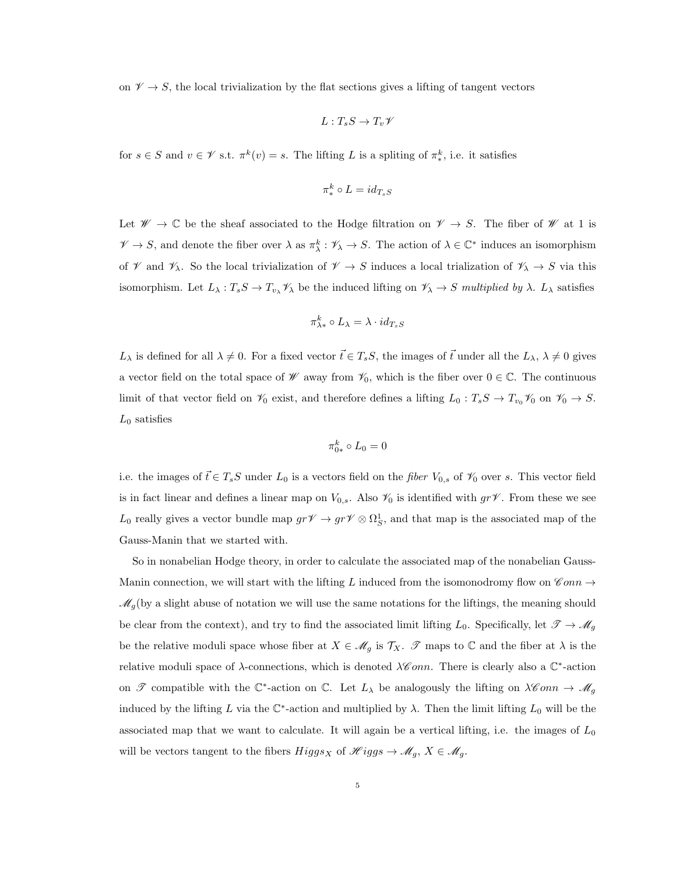on  $\mathscr{V} \to S$ , the local trivialization by the flat sections gives a lifting of tangent vectors

$$
L:T_sS\to T_v\mathscr V
$$

for  $s \in S$  and  $v \in \mathscr{V}$  s.t.  $\pi^k(v) = s$ . The lifting L is a spliting of  $\pi^k_*$ , i.e. it satisfies

$$
\pi^k_* \circ L = id_{T_sS}
$$

Let  $\mathscr{W} \to \mathbb{C}$  be the sheaf associated to the Hodge filtration on  $\mathscr{V} \to S$ . The fiber of  $\mathscr{W}$  at 1 is  $\mathscr{V} \to S$ , and denote the fiber over  $\lambda$  as  $\pi_\lambda^k : \mathscr{V}_\lambda \to S$ . The action of  $\lambda \in \mathbb{C}^*$  induces an isomorphism of  $\mathscr V$  and  $\mathscr V_\lambda$ . So the local trivialization of  $\mathscr V \to S$  induces a local trialization of  $\mathscr V_\lambda \to S$  via this isomorphism. Let  $L_\lambda: T_sS \to T_{v_\lambda} \mathcal{V}_\lambda$  be the induced lifting on  $\mathcal{V}_\lambda \to S$  multiplied by  $\lambda$ .  $L_\lambda$  satisfies

$$
\pi^k_{\lambda*} \circ L_\lambda = \lambda \cdot id_{T_sS}
$$

 $L_{\lambda}$  is defined for all  $\lambda \neq 0$ . For a fixed vector  $\vec{t} \in T_sS$ , the images of  $\vec{t}$  under all the  $L_{\lambda}$ ,  $\lambda \neq 0$  gives a vector field on the total space of  $W$  away from  $\mathcal{V}_0$ , which is the fiber over  $0 \in \mathbb{C}$ . The continuous limit of that vector field on  $\mathcal{V}_0$  exist, and therefore defines a lifting  $L_0 : T_sS \to T_{v_0}\mathcal{V}_0$  on  $\mathcal{V}_0 \to S$ .  $L_0$  satisfies

$$
\pi_{0*}^k \circ L_0 = 0
$$

i.e. the images of  $\vec{t} \in T_sS$  under  $L_0$  is a vectors field on the *fiber*  $V_{0,s}$  of  $\mathcal{V}_0$  over s. This vector field is in fact linear and defines a linear map on  $V_{0,s}$ . Also  $\mathcal{V}_0$  is identified with  $gr\mathcal{V}$ . From these we see  $L_0$  really gives a vector bundle map  $gr\mathscr{V} \to gr\mathscr{V} \otimes \Omega^1_S$ , and that map is the associated map of the Gauss-Manin that we started with.

So in nonabelian Hodge theory, in order to calculate the associated map of the nonabelian Gauss-Manin connection, we will start with the lifting L induced from the isomonodromy flow on  $\mathscr{C}onn \rightarrow$  $\mathscr{M}_g$  (by a slight abuse of notation we will use the same notations for the liftings, the meaning should be clear from the context), and try to find the associated limit lifting  $L_0$ . Specifically, let  $\mathscr{T} \to \mathscr{M}_g$ be the relative moduli space whose fiber at  $X \in \mathcal{M}_g$  is  $\mathcal{T}_X$ .  $\mathcal{T}$  maps to  $\mathbb C$  and the fiber at  $\lambda$  is the relative moduli space of  $\lambda$ -connections, which is denoted  $\lambda \mathscr{C}$ *onn*. There is clearly also a  $\mathbb{C}^*$ -action on  $\mathscr T$  compatible with the  $\mathbb C^*$ -action on  $\mathbb C$ . Let  $L_\lambda$  be analogously the lifting on  $\lambda \mathscr{C}$ *onn*  $\rightarrow \mathscr{M}_g$ induced by the lifting L via the  $\mathbb{C}^*$ -action and multiplied by  $\lambda$ . Then the limit lifting  $L_0$  will be the associated map that we want to calculate. It will again be a vertical lifting, i.e. the images of  $L_0$ will be vectors tangent to the fibers  $Higgs_X$  of  $\mathscr{H}iggs \to \mathscr{M}_g$ ,  $X \in \mathscr{M}_g$ .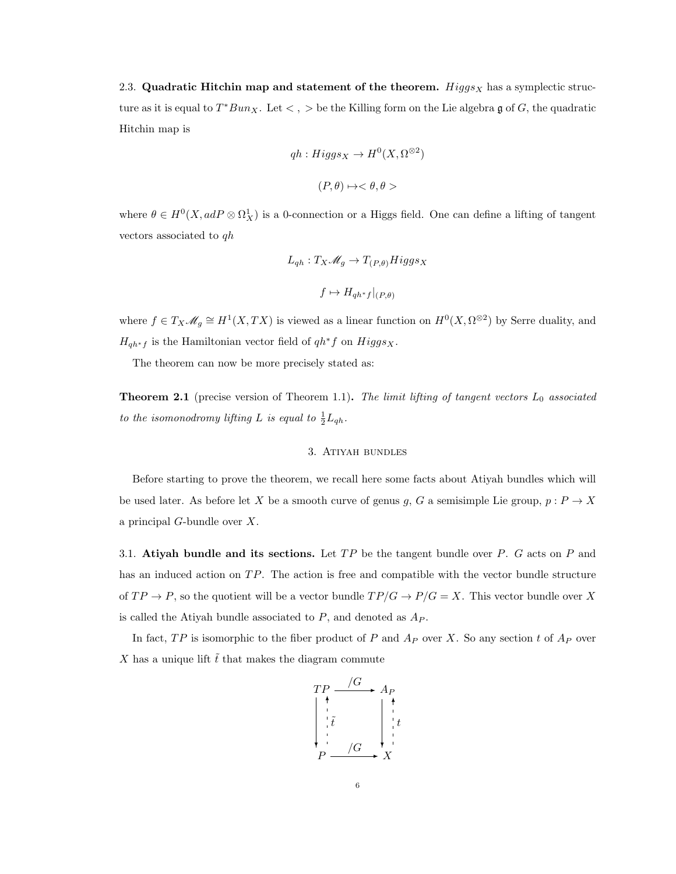2.3. Quadratic Hitchin map and statement of the theorem. Higgs  $_X$  has a symplectic structure as it is equal to  $T^*Bun_X$ . Let  $\lt, \gt, \gt$  be the Killing form on the Lie algebra g of G, the quadratic Hitchin map is

$$
qh: Higgs_X \to H^0(X, \Omega^{\otimes 2})
$$
  

$$
(P, \theta) \to <\theta, \theta>
$$

where  $\theta \in H^0(X, adP \otimes \Omega^1_X)$  is a 0-connection or a Higgs field. One can define a lifting of tangent vectors associated to  $q h$ 

$$
L_{qh}: T_X \mathcal{M}_g \to T_{(P,\theta)} Higgs_X
$$

$$
f \mapsto H_{qh^*f}|_{(P,\theta)}
$$

where  $f \in T_X \mathscr{M}_g \cong H^1(X, TX)$  is viewed as a linear function on  $H^0(X, \Omega^{\otimes 2})$  by Serre duality, and  ${\cal H}_{qh^*f}$  is the Hamiltonian vector field of  $qh^*f$  on  $Higgs_X.$ 

The theorem can now be more precisely stated as:

**Theorem 2.1** (precise version of Theorem 1.1). The limit lifting of tangent vectors  $L_0$  associated to the isomonodromy lifting L is equal to  $\frac{1}{2}L_{qh}$ .

### 3. Atiyah bundles

Before starting to prove the theorem, we recall here some facts about Atiyah bundles which will be used later. As before let X be a smooth curve of genus g, G a semisimple Lie group,  $p : P \to X$ a principal G-bundle over X.

3.1. Atiyah bundle and its sections. Let  $TP$  be the tangent bundle over P. G acts on P and has an induced action on  $TP$ . The action is free and compatible with the vector bundle structure of  $TP \to P$ , so the quotient will be a vector bundle  $TP/G \to P/G = X$ . This vector bundle over X is called the Atiyah bundle associated to  $P$ , and denoted as  $A_P$ .

In fact,  $TP$  is isomorphic to the fiber product of P and  $A_P$  over X. So any section t of  $A_P$  over X has a unique lift  $\tilde{t}$  that makes the diagram commute

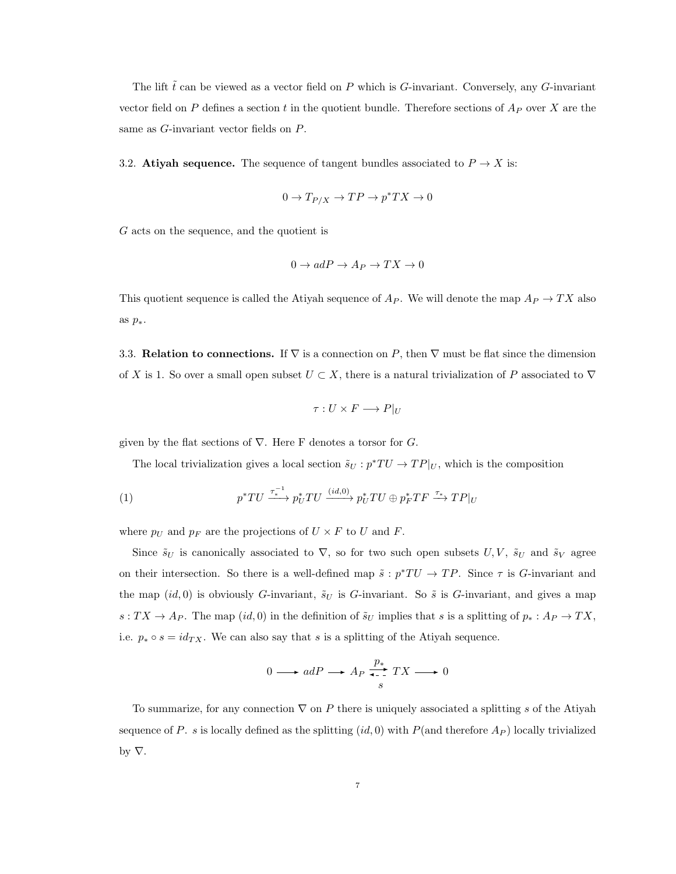The lift  $\tilde{t}$  can be viewed as a vector field on P which is G-invariant. Conversely, any G-invariant vector field on P defines a section t in the quotient bundle. Therefore sections of  $A_P$  over X are the same as G-invariant vector fields on P.

3.2. Atiyah sequence. The sequence of tangent bundles associated to  $P \to X$  is:

$$
0 \to T_{P/X} \to TP \to p^*TX \to 0
$$

G acts on the sequence, and the quotient is

$$
0 \to adP \to A_P \to TX \to 0
$$

This quotient sequence is called the Atiyah sequence of  $A_P$ . We will denote the map  $A_P \to TX$  also as  $p_*$ .

3.3. Relation to connections. If  $\nabla$  is a connection on P, then  $\nabla$  must be flat since the dimension of X is 1. So over a small open subset  $U \subset X$ , there is a natural trivialization of P associated to  $\nabla$ 

$$
\tau: U \times F \longrightarrow P|_U
$$

given by the flat sections of  $\nabla$ . Here F denotes a torsor for G.

The local trivialization gives a local section  $\tilde{s}_U : p^*TU \to TP|_U$ , which is the composition

(1) 
$$
p^*TU \xrightarrow{\tau_*^{-1}} p_U^*TU \xrightarrow{(id,0)} p_U^*TU \oplus p_F^*TF \xrightarrow{\tau_*} TP|_U
$$

where  $p_U$  and  $p_F$  are the projections of  $U \times F$  to U and F.

Since  $\tilde{s}_U$  is canonically associated to  $\nabla$ , so for two such open subsets  $U, V, \tilde{s}_U$  and  $\tilde{s}_V$  agree on their intersection. So there is a well-defined map  $\tilde{s} : p^*TU \to TP$ . Since  $\tau$  is G-invariant and the map  $(id, 0)$  is obviously G-invariant,  $\tilde{s}_U$  is G-invariant. So  $\tilde{s}$  is G-invariant, and gives a map  $s: TX \to A_P$ . The map  $(id, 0)$  in the definition of  $\tilde{s}_U$  implies that s is a splitting of  $p_*: A_P \to TX$ , i.e.  $p_* \circ s = id_{TX}$ . We can also say that s is a splitting of the Atiyah sequence.

$$
0 \longrightarrow adP \longrightarrow A_P \xrightarrow[s]{p_*} TX \longrightarrow 0
$$

To summarize, for any connection  $\nabla$  on P there is uniquely associated a splitting s of the Atiyah sequence of P. s is locally defined as the splitting  $(id, 0)$  with P(and therefore  $A_P$ ) locally trivialized by  $\nabla$ .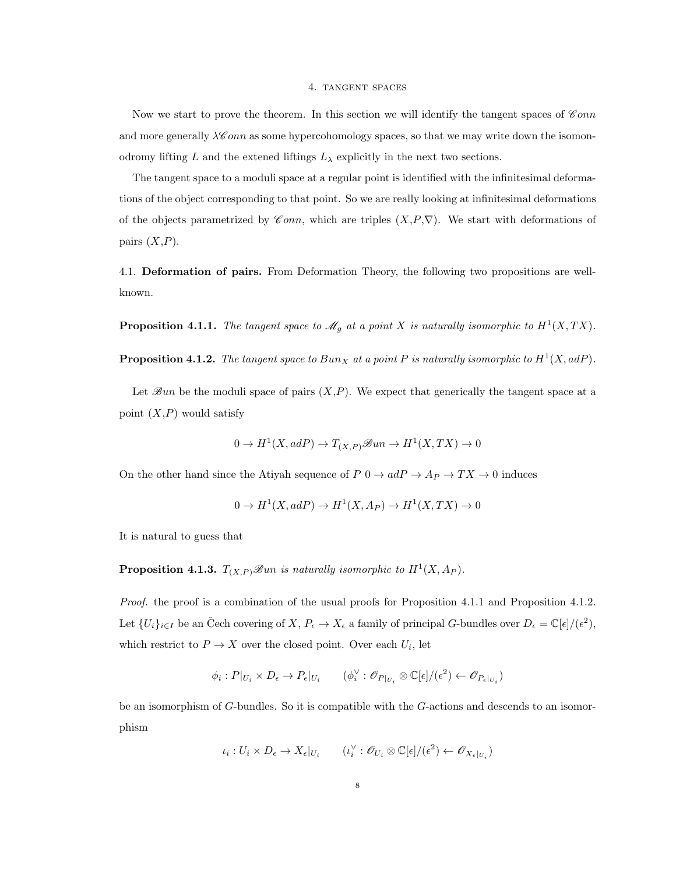#### 4. tangent spaces

Now we start to prove the theorem. In this section we will identify the tangent spaces of  $\mathscr{C}onn$ and more generally  $\lambda \mathscr{C} \text{on}$  as some hypercohomology spaces, so that we may write down the isomonodromy lifting L and the extened liftings  $L_{\lambda}$  explicitly in the next two sections.

The tangent space to a moduli space at a regular point is identified with the infinitesimal deformations of the object corresponding to that point. So we are really looking at infinitesimal deformations of the objects parametrized by Conn, which are triples  $(X, P, \nabla)$ . We start with deformations of pairs  $(X, P)$ .

4.1. Deformation of pairs. From Deformation Theory, the following two propositions are wellknown.

**Proposition 4.1.1.** The tangent space to  $\mathcal{M}_g$  at a point X is naturally isomorphic to  $H^1(X,TX)$ .

**Proposition 4.1.2.** The tangent space to Bun<sub>X</sub> at a point P is naturally isomorphic to  $H^1(X, adP)$ .

Let  $\mathscr{B}un$  be the moduli space of pairs  $(X, P)$ . We expect that generically the tangent space at a point  $(X, P)$  would satisfy

$$
0 \to H^1(X, adP) \to T_{(X,P)} \mathcal{B}un \to H^1(X,TX) \to 0
$$

On the other hand since the Atiyah sequence of  $P\ 0 \to adP \to A_P \to TX \to 0$  induces

$$
0 \to H^1(X, adP) \to H^1(X, Ap) \to H^1(X, TX) \to 0
$$

It is natural to guess that

**Proposition 4.1.3.**  $T_{(X,P)}$  Sun is naturally isomorphic to  $H^1(X, Ap)$ .

Proof. the proof is a combination of the usual proofs for Proposition 4.1.1 and Proposition 4.1.2. Let  $\{U_i\}_{i\in I}$  be an Čech covering of  $X, P_{\epsilon} \to X_{\epsilon}$  a family of principal G-bundles over  $D_{\epsilon} = \mathbb{C}[\epsilon]/(\epsilon^2)$ , which restrict to  $P \to X$  over the closed point. Over each  $U_i$ , let

$$
\phi_i : P|_{U_i} \times D_{\epsilon} \to P_{\epsilon}|_{U_i} \qquad (\phi_i^{\vee} : \mathscr{O}_{P|_{U_i}} \otimes \mathbb{C}[\epsilon]/(\epsilon^2) \leftarrow \mathscr{O}_{P_{\epsilon}|_{U_i}})
$$

be an isomorphism of G-bundles. So it is compatible with the G-actions and descends to an isomorphism

$$
\iota_i: U_i \times D_{\epsilon} \to X_{\epsilon}|_{U_i} \qquad (\iota_i^{\vee} : \mathscr{O}_{U_i} \otimes \mathbb{C}[\epsilon]/(\epsilon^2) \leftarrow \mathscr{O}_{X_{\epsilon}|_{U_i}})
$$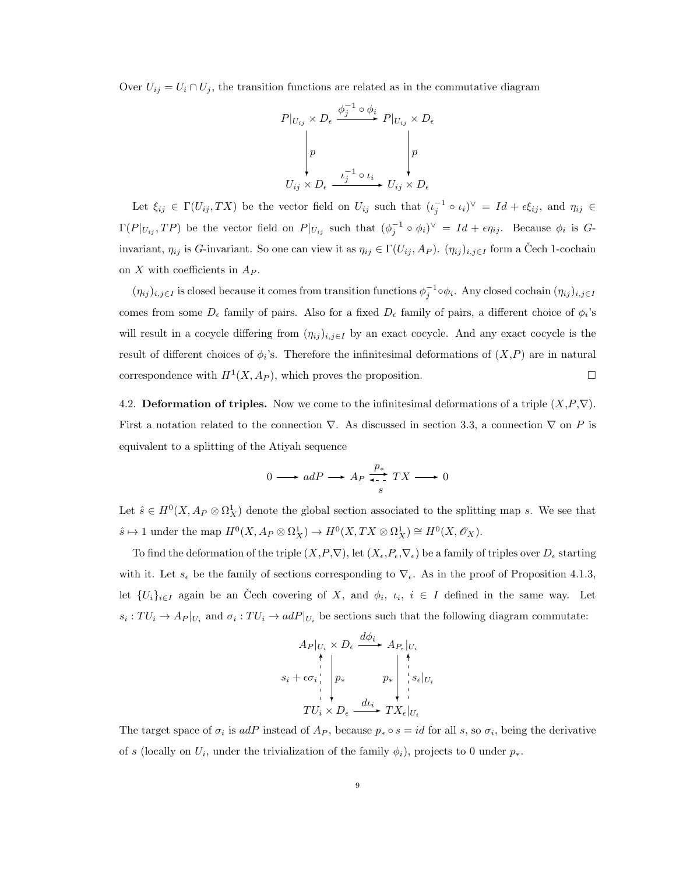Over  $U_{ij} = U_i \cap U_j$ , the transition functions are related as in the commutative diagram



Let  $\xi_{ij} \in \Gamma(U_{ij}, TX)$  be the vector field on  $U_{ij}$  such that  $(\iota_j^{-1} \circ \iota_i)^{\vee} = Id + \epsilon \xi_{ij}$ , and  $\eta_{ij} \in$  $\Gamma(P|_{U_{ij}}, TP)$  be the vector field on  $P|_{U_{ij}}$  such that  $(\phi_j^{-1} \circ \phi_i)^{\vee} = Id + \epsilon \eta_{ij}$ . Because  $\phi_i$  is Ginvariant,  $\eta_{ij}$  is G-invariant. So one can view it as  $\eta_{ij} \in \Gamma(U_{ij}, Ap)$ .  $(\eta_{ij})_{i,j \in I}$  form a Čech 1-cochain on X with coefficients in  $A_P$ .

 $(\eta_{ij})_{i,j\in I}$  is closed because it comes from transition functions  $\phi_j^{-1} \circ \phi_i$ . Any closed cochain  $(\eta_{ij})_{i,j\in I}$ comes from some  $D_{\epsilon}$  family of pairs. Also for a fixed  $D_{\epsilon}$  family of pairs, a different choice of  $\phi_i$ 's will result in a cocycle differing from  $(\eta_{ij})_{i,j\in I}$  by an exact cocycle. And any exact cocycle is the result of different choices of  $\phi_i$ 's. Therefore the infinitesimal deformations of  $(X, P)$  are in natural correspondence with  $H^1(X, A_P)$ , which proves the proposition.

4.2. Deformation of triples. Now we come to the infinitesimal deformations of a triple  $(X, P, \nabla)$ . First a notation related to the connection  $\nabla$ . As discussed in section 3.3, a connection  $\nabla$  on P is equivalent to a splitting of the Atiyah sequence

$$
0 \longrightarrow adP \longrightarrow A_P \xrightarrow[s]{p_*} TX \longrightarrow 0
$$

Let  $\hat{s} \in H^0(X, A_P \otimes \Omega^1_X)$  denote the global section associated to the splitting map s. We see that  $\hat{s} \mapsto 1$  under the map  $H^0(X, A_P \otimes \Omega_X^1) \to H^0(X, TX \otimes \Omega_X^1) \cong H^0(X, \mathscr{O}_X)$ .

To find the deformation of the triple  $(X, P, \nabla)$ , let  $(X, P, \nabla)$  be a family of triples over  $D_{\epsilon}$  starting with it. Let  $s_{\epsilon}$  be the family of sections corresponding to  $\nabla_{\epsilon}$ . As in the proof of Proposition 4.1.3, let  $\{U_i\}_{i\in I}$  again be an Čech covering of X, and  $\phi_i$ ,  $i, i \in I$  defined in the same way. Let  $s_i: TU_i \to A_P|_{U_i}$  and  $\sigma_i: TU_i \to adP|_{U_i}$  be sections such that the following diagram commutate:

$$
A_P|_{U_i} \times D_{\epsilon} \xrightarrow{d\phi_i} A_{P_{\epsilon}}|_{U_i}
$$
\n
$$
s_i + \epsilon \sigma_i \Big|_{I^*} p_* \qquad p_* \Big|_{I^* \atop I^*} \Big|_{I^* \atop I^*} s_{\epsilon}|_{U_i}
$$
\n
$$
TU_i \times D_{\epsilon} \xrightarrow{d\iota_i} TX_{\epsilon}|_{U_i}
$$

The target space of  $\sigma_i$  is adP instead of  $A_P$ , because  $p_* \circ s = id$  for all s, so  $\sigma_i$ , being the derivative of s (locally on  $U_i$ , under the trivialization of the family  $\phi_i$ ), projects to 0 under  $p_*$ .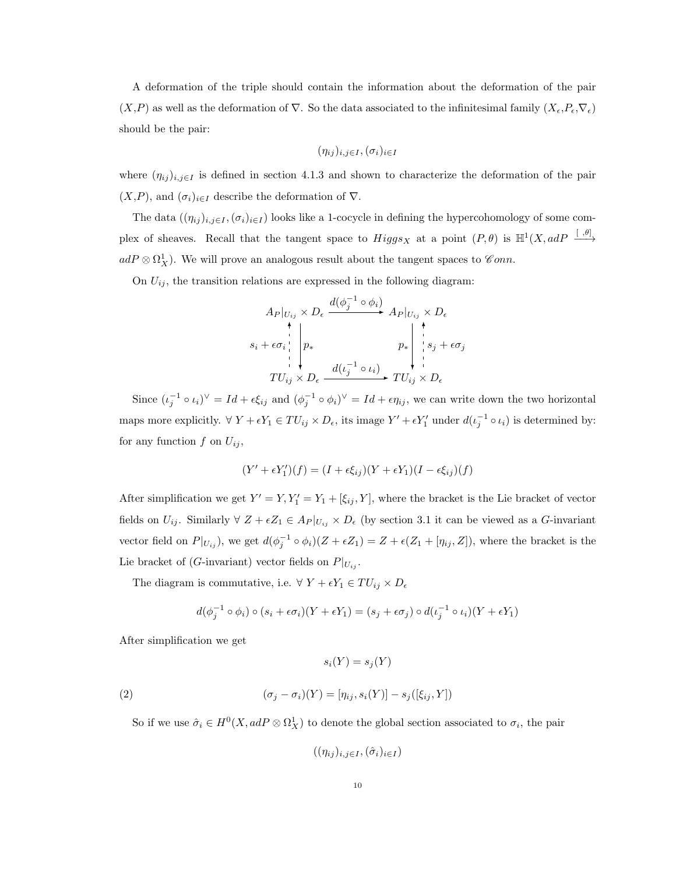A deformation of the triple should contain the information about the deformation of the pair  $(X, P)$  as well as the deformation of  $\nabla$ . So the data associated to the infinitesimal family  $(X_{\epsilon}, P_{\epsilon}, \nabla_{\epsilon})$ should be the pair:

$$
(\eta_{ij})_{i,j\in I},(\sigma_i)_{i\in I}
$$

where  $(\eta_{ij})_{i,j\in I}$  is defined in section 4.1.3 and shown to characterize the deformation of the pair  $(X, P)$ , and  $(\sigma_i)_{i \in I}$  describe the deformation of  $\nabla$ .

The data  $((\eta_{ij})_{i,j\in I},(\sigma_i)_{i\in I})$  looks like a 1-cocycle in defining the hypercohomology of some complex of sheaves. Recall that the tangent space to  $Higgs_X$  at a point  $(P, \theta)$  is  $\mathbb{H}^1(X, adP \xrightarrow{[ \theta] }$  $adP\otimes \Omega^1_X$ ). We will prove an analogous result about the tangent spaces to  $\mathscr Com$ .

On  $U_{ij}$ , the transition relations are expressed in the following diagram:

A<sup>P</sup> |<sup>U</sup>ij × D d(φ −1 j ◦ <sup>φ</sup>i)✲ <sup>A</sup><sup>P</sup> <sup>|</sup>Uij <sup>×</sup> <sup>D</sup> T Uij × D s<sup>i</sup> + σ<sup>i</sup> ✻ p∗ ❄ <sup>d</sup>(<sup>ι</sup> −1 j ◦ <sup>ι</sup>i)✲ T Uij <sup>×</sup> <sup>D</sup> p∗ ❄ s<sup>j</sup> + σ<sup>j</sup> ✻

Since  $(\iota_j^{-1} \circ \iota_i)^\vee = Id + \epsilon \xi_{ij}$  and  $(\phi_j^{-1} \circ \phi_i)^\vee = Id + \epsilon \eta_{ij}$ , we can write down the two horizontal maps more explicitly.  $\forall Y + \epsilon Y_1 \in TU_{ij} \times D_{\epsilon}$ , its image  $Y' + \epsilon Y'_1$  under  $d(\iota_j^{-1} \circ \iota_i)$  is determined by: for any function  $f$  on  $U_{ij}$ ,

$$
(Y' + \epsilon Y'_1)(f) = (I + \epsilon \xi_{ij})(Y + \epsilon Y_1)(I - \epsilon \xi_{ij})(f)
$$

After simplification we get  $Y' = Y, Y_1' = Y_1 + [\xi_{ij}, Y]$ , where the bracket is the Lie bracket of vector fields on  $U_{ij}$ . Similarly  $\forall Z + \epsilon Z_1 \in A_P |_{U_{ij}} \times D_{\epsilon}$  (by section 3.1 it can be viewed as a G-invariant vector field on  $P|_{U_{ij}}$ , we get  $d(\phi_j^{-1} \circ \phi_i)(Z + \epsilon Z_1) = Z + \epsilon (Z_1 + [\eta_{ij}, Z])$ , where the bracket is the Lie bracket of (G-invariant) vector fields on  $P|_{U_{ij}}$ .

The diagram is commutative, i.e.  $\forall Y + \epsilon Y_1 \in TU_{ij} \times D_{\epsilon}$ 

$$
d(\phi_j^{-1} \circ \phi_i) \circ (s_i + \epsilon \sigma_i)(Y + \epsilon Y_1) = (s_j + \epsilon \sigma_j) \circ d(\iota_j^{-1} \circ \iota_i)(Y + \epsilon Y_1)
$$

After simplification we get

$$
s_i(Y) = s_j(Y)
$$

(2) 
$$
(\sigma_j - \sigma_i)(Y) = [\eta_{ij}, s_i(Y)] - s_j([\xi_{ij}, Y])
$$

So if we use  $\hat{\sigma}_i \in H^0(X, adP \otimes \Omega^1_X)$  to denote the global section associated to  $\sigma_i$ , the pair

$$
((\eta_{ij})_{i,j\in I},(\hat{\sigma}_i)_{i\in I})
$$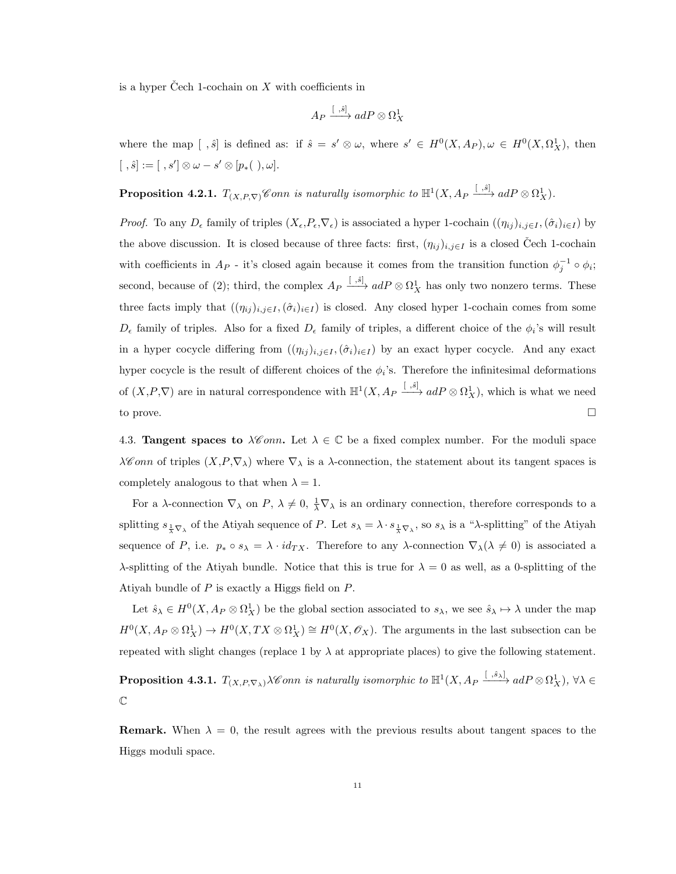is a hyper Čech 1-cochain on  $X$  with coefficients in

$$
A_P \xrightarrow{[~,{\hat s}]} adP \otimes \Omega^1_X
$$

where the map  $[ ,\hat{s} ]$  is defined as: if  $\hat{s} = s' \otimes \omega$ , where  $s' \in H^0(X, Ap), \omega \in H^0(X, \Omega_X^1)$ , then  $[ \ , \hat{s}] := [ \ , s'] \otimes \omega - s' \otimes [p_*( \ ) , \omega].$ 

**Proposition 4.2.1.**  $T_{(X,P,\nabla)}$  Conn is naturally isomorphic to  $\mathbb{H}^1(X, A_P \xrightarrow{[S], \delta]} adP \otimes \Omega^1_X)$ .

*Proof.* To any  $D_{\epsilon}$  family of triples  $(X_{\epsilon},P_{\epsilon},\nabla_{\epsilon})$  is associated a hyper 1-cochain  $((\eta_{ij})_{i,j\in I},(\hat{\sigma}_i)_{i\in I})$  by the above discussion. It is closed because of three facts: first,  $(\eta_{ij})_{i,j\in I}$  is a closed Cech 1-cochain with coefficients in  $A_P$  - it's closed again because it comes from the transition function  $\phi_j^{-1} \circ \phi_i$ ; second, because of (2); third, the complex  $A_P \xrightarrow{[S, \hat{s}]} adP \otimes \Omega^1_X$  has only two nonzero terms. These three facts imply that  $((\eta_{ij})_{i,j\in I},(\hat{\sigma}_i)_{i\in I})$  is closed. Any closed hyper 1-cochain comes from some  $D_{\epsilon}$  family of triples. Also for a fixed  $D_{\epsilon}$  family of triples, a different choice of the  $\phi_i$ 's will result in a hyper cocycle differing from  $((\eta_{ij})_{i,j\in I},(\hat{\sigma}_i)_{i\in I})$  by an exact hyper cocycle. And any exact hyper cocycle is the result of different choices of the  $\phi_i$ 's. Therefore the infinitesimal deformations of  $(X, P, \nabla)$  are in natural correspondence with  $\mathbb{H}^1(X, A_P \xrightarrow{[S, \delta]} adP \otimes \Omega^1_X)$ , which is what we need to prove.

4.3. **Tangent spaces to**  $\lambda \mathcal{C}$  onn. Let  $\lambda \in \mathbb{C}$  be a fixed complex number. For the moduli space  $\lambda\mathscr{C}$ *onn* of triples  $(X,\mathcal{P},\nabla_\lambda)$  where  $\nabla_\lambda$  is a  $\lambda$ -connection, the statement about its tangent spaces is completely analogous to that when  $\lambda = 1$ .

For a  $\lambda$ -connection  $\nabla_{\lambda}$  on  $P$ ,  $\lambda \neq 0$ ,  $\frac{1}{\lambda} \nabla_{\lambda}$  is an ordinary connection, therefore corresponds to a splitting  $s_{\frac{1}{\lambda}\nabla_{\lambda}}$  of the Atiyah sequence of P. Let  $s_{\lambda} = \lambda \cdot s_{\frac{1}{\lambda}\nabla_{\lambda}}$ , so  $s_{\lambda}$  is a " $\lambda$ -splitting" of the Atiyah sequence of P, i.e.  $p_* \circ s_\lambda = \lambda \cdot id_{TX}$ . Therefore to any  $\lambda$ -connection  $\nabla_\lambda(\lambda \neq 0)$  is associated a λ-splitting of the Atiyah bundle. Notice that this is true for  $\lambda = 0$  as well, as a 0-splitting of the Atiyah bundle of P is exactly a Higgs field on P.

Let  $\hat{s}_{\lambda} \in H^0(X, A_P \otimes \Omega^1_X)$  be the global section associated to  $s_{\lambda}$ , we see  $\hat{s}_{\lambda} \mapsto \lambda$  under the map  $H^0(X, A_P \otimes \Omega^1_X) \to H^0(X, TX \otimes \Omega^1_X) \cong H^0(X, \mathscr{O}_X)$ . The arguments in the last subsection can be repeated with slight changes (replace 1 by  $\lambda$  at appropriate places) to give the following statement.

**Proposition 4.3.1.**  $T_{(X,P,\nabla_\lambda)}\lambda \mathscr{C}$  onn is naturally isomorphic to  $\mathbb{H}^1(X, A_P \xrightarrow{[.,\hat{s}_\lambda]} adP \otimes \Omega^1_X)$ ,  $\forall \lambda \in$  $\mathbb C$ 

**Remark.** When  $\lambda = 0$ , the result agrees with the previous results about tangent spaces to the Higgs moduli space.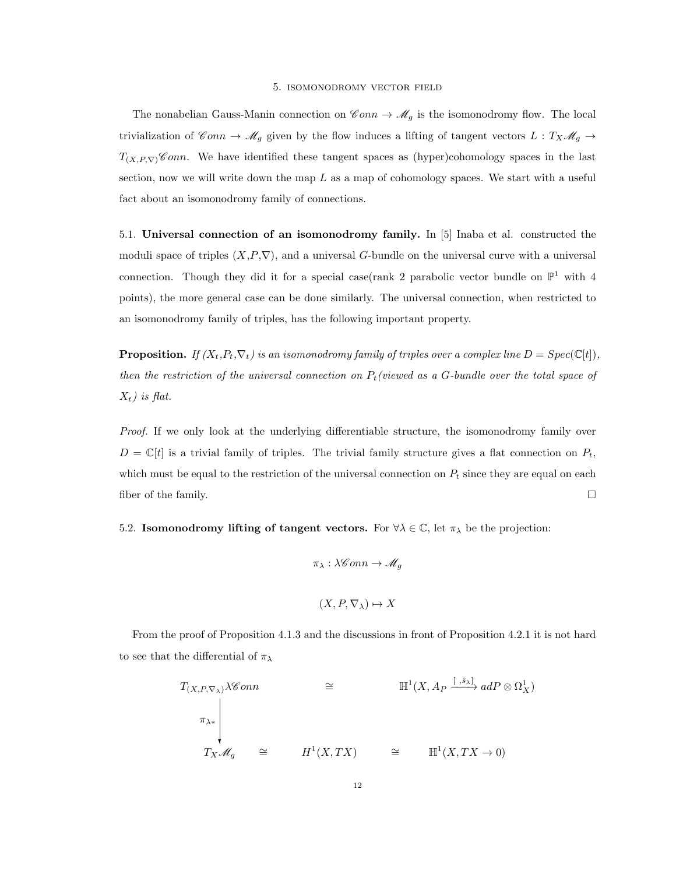#### 5. isomonodromy vector field

The nonabelian Gauss-Manin connection on  $\mathscr{C}onn \to \mathscr{M}_q$  is the isomonodromy flow. The local trivialization of  $\mathscr Com \to \mathscr M_g$  given by the flow induces a lifting of tangent vectors  $L : T_X \mathscr M_g \to$  $T_{(X,P,\nabla)}$ Conn. We have identified these tangent spaces as (hyper)cohomology spaces in the last section, now we will write down the map  $L$  as a map of cohomology spaces. We start with a useful fact about an isomonodromy family of connections.

5.1. Universal connection of an isomonodromy family. In [5] Inaba et al. constructed the moduli space of triples  $(X, P, \nabla)$ , and a universal G-bundle on the universal curve with a universal connection. Though they did it for a special case(rank 2 parabolic vector bundle on  $\mathbb{P}^1$  with 4 points), the more general case can be done similarly. The universal connection, when restricted to an isomonodromy family of triples, has the following important property.

**Proposition.** If  $(X_t, P_t, \nabla_t)$  is an isomonodromy family of triples over a complex line  $D = Spec(\mathbb{C}[t]),$ then the restriction of the universal connection on  $P_t$  (viewed as a G-bundle over the total space of  $X_t$ ) is flat.

Proof. If we only look at the underlying differentiable structure, the isomonodromy family over  $D = \mathbb{C}[t]$  is a trivial family of triples. The trivial family structure gives a flat connection on  $P_t$ , which must be equal to the restriction of the universal connection on  $P_t$  since they are equal on each fiber of the family.  $\Box$ 

5.2. Isomonodromy lifting of tangent vectors. For  $\forall \lambda \in \mathbb{C}$ , let  $\pi_{\lambda}$  be the projection:

$$
\pi_{\lambda} : \lambda \mathscr{C}onn \to \mathscr{M}_g
$$

$$
(X, P, \nabla_{\lambda}) \mapsto X
$$

From the proof of Proposition 4.1.3 and the discussions in front of Proposition 4.2.1 it is not hard to see that the differential of  $\pi_{\lambda}$ 

 $\overline{r}$   $\overline{s}$  1

$$
T_{(X,P,\nabla_X)}\lambda \mathscr{C}onn \cong \mathbb{H}^1(X, A_P \xrightarrow{[S_X]} adP \otimes \Omega_X^1)
$$
  

$$
\pi_{\lambda *}
$$
  

$$
T_X \mathscr{M}_g \cong H^1(X,TX) \cong \mathbb{H}^1(X,TX \to 0)
$$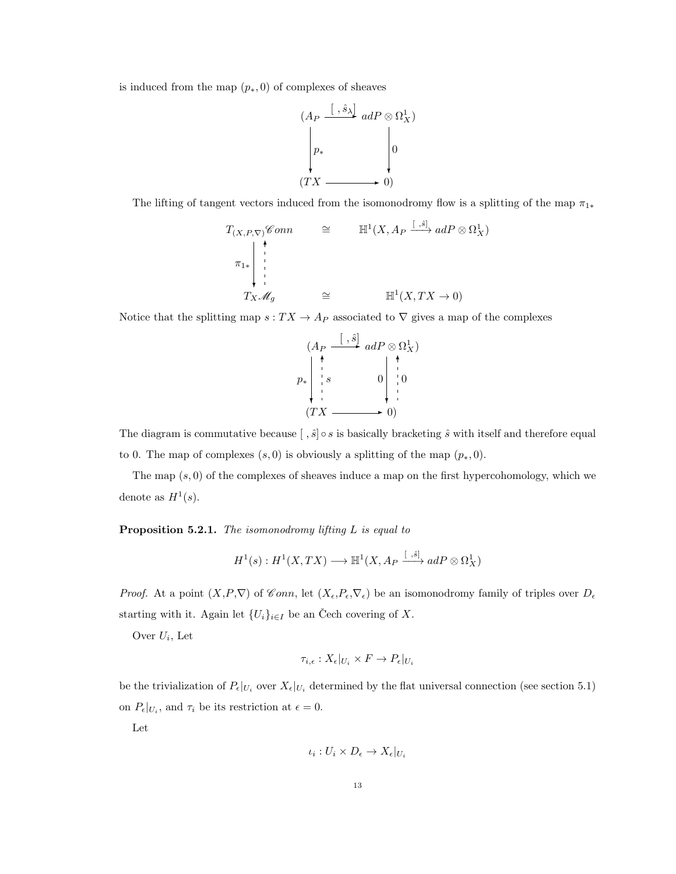is induced from the map  $(p_*, 0)$  of complexes of sheaves



The lifting of tangent vectors induced from the isomonodromy flow is a splitting of the map  $\pi_{1*}$ 

$$
T_{(X,P,\nabla)} \mathscr{C} \text{ on } n \cong \mathbb{H}^1(X, A_P \xrightarrow{[.\, \hat{s}]} adP \otimes \Omega^1_X)
$$
  
\n
$$
\pi_{1*} \downarrow \downarrow \qquad \qquad \vdots
$$
  
\n
$$
T_X \mathscr{M}_g \cong \mathbb{H}^1(X, TX \to 0)
$$

Notice that the splitting map  $s: TX \to A_P$  associated to  $\nabla$  gives a map of the complexes



The diagram is commutative because  $\left[\right, \hat{s} \right] \circ s$  is basically bracketing  $\hat{s}$  with itself and therefore equal to 0. The map of complexes  $(s, 0)$  is obviously a splitting of the map  $(p_*, 0)$ .

The map  $(s, 0)$  of the complexes of sheaves induce a map on the first hypercohomology, which we denote as  $H^1(s)$ .

**Proposition 5.2.1.** The isomonodromy lifting  $L$  is equal to

$$
H^1(s): H^1(X, TX) \longrightarrow \mathbb{H}^1(X, A_P \xrightarrow{[s, s]} adP \otimes \Omega^1_X)
$$

*Proof.* At a point  $(X, P, \nabla)$  of Conn, let  $(X_{\epsilon}, P_{\epsilon}, \nabla_{\epsilon})$  be an isomonodromy family of triples over  $D_{\epsilon}$ starting with it. Again let  $\{U_i\}_{i\in I}$  be an Čech covering of X.

Over  $U_i$ , Let

$$
\tau_{i,\epsilon}: X_{\epsilon}|_{U_i} \times F \to P_{\epsilon}|_{U_i}
$$

be the trivialization of  $P_{\epsilon}|_{U_i}$  over  $X_{\epsilon}|_{U_i}$  determined by the flat universal connection (see section 5.1) on  $P_{\epsilon}|_{U_i}$ , and  $\tau_i$  be its restriction at  $\epsilon = 0$ .

Let

$$
\iota_i: U_i \times D_{\epsilon} \to X_{\epsilon}|_{U_i}
$$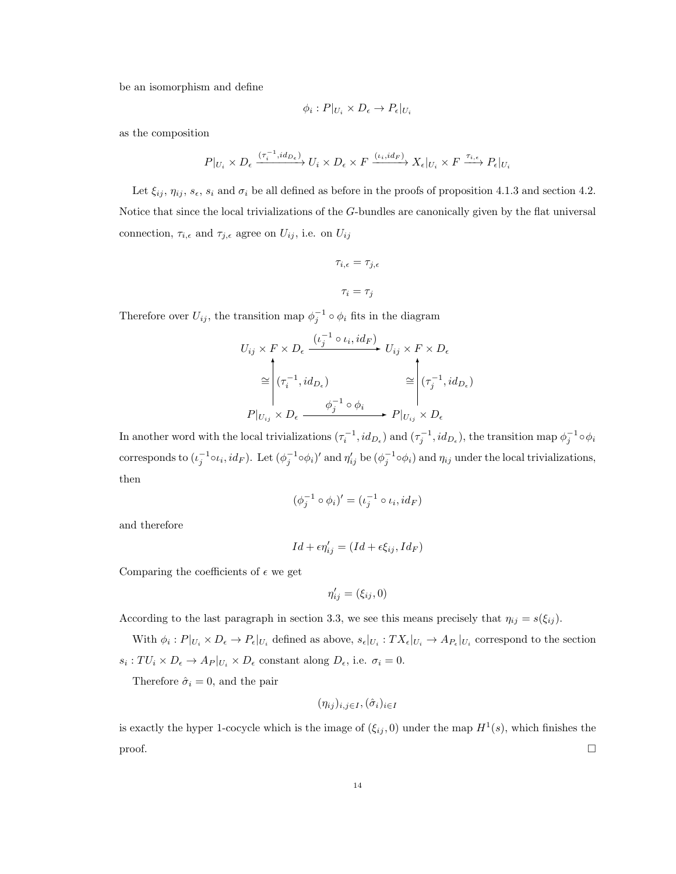be an isomorphism and define

$$
\phi_i: P|_{U_i} \times D_{\epsilon} \to P_{\epsilon}|_{U_i}
$$

as the composition

$$
P|_{U_i} \times D_{\epsilon} \xrightarrow{(\tau_i^{-1}, id_{D_{\epsilon}})} U_i \times D_{\epsilon} \times F \xrightarrow{( \iota_i, id_F) } X_{\epsilon}|_{U_i} \times F \xrightarrow{\tau_{i,\epsilon}} P_{\epsilon}|_{U_i}
$$

Let  $\xi_{ij}$ ,  $\eta_{ij}$ ,  $s_{\epsilon}$ ,  $s_i$  and  $\sigma_i$  be all defined as before in the proofs of proposition 4.1.3 and section 4.2. Notice that since the local trivializations of the G-bundles are canonically given by the flat universal connection,  $\tau_{i,\epsilon}$  and  $\tau_{j,\epsilon}$  agree on  $U_{ij}$ , i.e. on  $U_{ij}$ 

$$
\tau_{i,\epsilon} = \tau_{j,\epsilon}
$$

$$
\tau_i = \tau_j
$$

Therefore over  $U_{ij}$ , the transition map  $\phi_j^{-1} \circ \phi_i$  fits in the diagram

$$
U_{ij} \times F \times D_{\epsilon} \xrightarrow{\left(\iota_{j}^{-1} \circ \iota_{i}, id_{F}\right)} U_{ij} \times F \times D_{\epsilon}
$$

$$
\cong \left| \begin{array}{ccc} (\tau_{i}^{-1}, id_{D_{\epsilon}}) & \cong \\ (\tau_{i}^{-1}, id_{D_{\epsilon}}) & \cong \\ \end{array} \right| \left(\tau_{j}^{-1}, id_{D_{\epsilon}}\right)
$$

$$
P|_{U_{ij}} \times D_{\epsilon} \xrightarrow{\phi_{j}^{-1} \circ \phi_{i}} P|_{U_{ij}} \times D_{\epsilon}
$$

In another word with the local trivializations  $(\tau_i^{-1}, id_{D_\epsilon})$  and  $(\tau_j^{-1}, id_{D_\epsilon})$ , the transition map  $\phi_j^{-1} \circ \phi_i$ corresponds to  $(\iota_j^{-1} \circ \iota_i, id_F)$ . Let  $(\phi_j^{-1} \circ \phi_i)'$  and  $\eta'_{ij}$  be  $(\phi_j^{-1} \circ \phi_i)$  and  $\eta_{ij}$  under the local trivializations, then

$$
(\phi_j^{-1} \circ \phi_i)' = (\iota_j^{-1} \circ \iota_i, id_F)
$$

and therefore

$$
Id + \epsilon \eta'_{ij} = (Id + \epsilon \xi_{ij}, Id_F)
$$

Comparing the coefficients of  $\epsilon$  we get

$$
\eta'_{ij} = (\xi_{ij}, 0)
$$

According to the last paragraph in section 3.3, we see this means precisely that  $\eta_{ij} = s(\xi_{ij})$ .

With  $\phi_i : P|_{U_i} \times D_{\epsilon} \to P_{\epsilon}|_{U_i}$  defined as above,  $s_{\epsilon}|_{U_i} : TX_{\epsilon}|_{U_i} \to A_{P_{\epsilon}}|_{U_i}$  correspond to the section  $s_i: TU_i \times D_{\epsilon} \to A_P|_{U_i} \times D_{\epsilon}$  constant along  $D_{\epsilon}$ , i.e.  $\sigma_i = 0$ .

Therefore  $\hat{\sigma}_i = 0$ , and the pair

$$
(\eta_{ij})_{i,j\in I},(\hat{\sigma}_i)_{i\in I}
$$

is exactly the hyper 1-cocycle which is the image of  $(\xi_{ij}, 0)$  under the map  $H^1(s)$ , which finishes the  $\Box$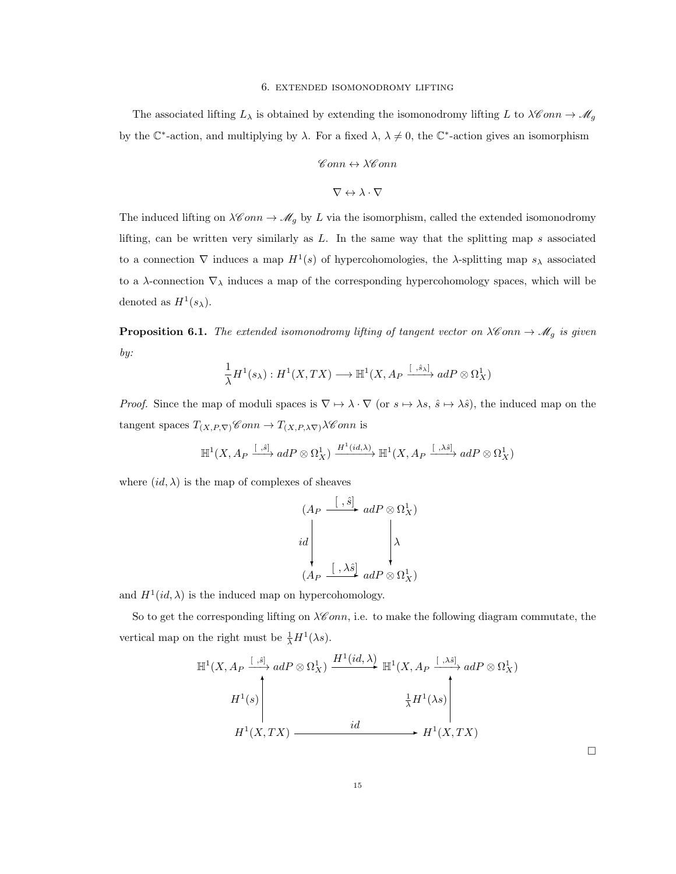#### 6. extended isomonodromy lifting

The associated lifting  $L_\lambda$  is obtained by extending the isomonodromy lifting L to  $\lambda \mathscr{C}$ *onn*  $\rightarrow \mathscr{M}_g$ by the  $\mathbb{C}^*$ -action, and multiplying by  $\lambda$ . For a fixed  $\lambda$ ,  $\lambda \neq 0$ , the  $\mathbb{C}^*$ -action gives an isomorphism

$$
\mathscr{C}onn \leftrightarrow \lambda \mathscr{C}onn
$$

$$
\nabla \leftrightarrow \lambda \cdot \nabla
$$

The induced lifting on  $\lambda \mathscr{C}onn \to \mathscr{M}_g$  by L via the isomorphism, called the extended isomonodromy lifting, can be written very similarly as  $L$ . In the same way that the splitting map s associated to a connection  $\nabla$  induces a map  $H^1(s)$  of hypercohomologies, the  $\lambda$ -splitting map  $s_\lambda$  associated to a  $\lambda$ -connection  $\nabla_{\lambda}$  induces a map of the corresponding hypercohomology spaces, which will be denoted as  $H^1(s_\lambda)$ .

**Proposition 6.1.** The extended isomonodromy lifting of tangent vector on  $\lambda \mathscr{C}$  on  $\lambda \mathscr{A}_g$  is given by:

$$
\frac{1}{\lambda}H^1(s_{\lambda}): H^1(X,TX) \longrightarrow \mathbb{H}^1(X, A_P \xrightarrow{[ , \hat{s}_{\lambda} ]} adP \otimes \Omega^1_X)
$$

*Proof.* Since the map of moduli spaces is  $\nabla \mapsto \lambda \cdot \nabla$  (or  $s \mapsto \lambda s$ ,  $\hat{s} \mapsto \lambda \hat{s}$ ), the induced map on the tangent spaces  $T_{(X,P,\nabla)}$ Conn  $\to T_{(X,P,\lambda \nabla)}\lambda$ Conn is

$$
\mathbb{H}^{1}(X, A_{P} \xrightarrow{[ \ , \hat{s} ]} adP \otimes \Omega_{X}^{1}) \xrightarrow{H^{1}(id,\lambda)} \mathbb{H}^{1}(X, A_{P} \xrightarrow{[ \ , \lambda \hat{s} ]} adP \otimes \Omega_{X}^{1})
$$

where  $(id, \lambda)$  is the map of complexes of sheaves

$$
(A_P \xrightarrow{\left[\ , \hat{s}\right]} adP \otimes \Omega^1_X)
$$
  
id  

$$
(A_P \xrightarrow{\left[\ , \lambda \hat{s}\right]} adP \otimes \Omega^1_X)
$$

and  $H^1(id, \lambda)$  is the induced map on hypercohomology.

So to get the corresponding lifting on  $\lambda \mathscr{C}onn$ , i.e. to make the following diagram commutate, the vertical map on the right must be  $\frac{1}{\lambda}H^1(\lambda s)$ .

$$
\mathbb{H}^{1}(X, A_{P} \xrightarrow{[S, \delta]} adP \otimes \Omega_{X}^{1}) \xrightarrow{H^{1}(id, \lambda)} \mathbb{H}^{1}(X, A_{P} \xrightarrow{[S, \lambda \delta]} adP \otimes \Omega_{X}^{1})
$$
\n
$$
H^{1}(s) \xrightarrow{\frac{1}{\lambda} H^{1}(\lambda s)} H^{1}(X, TX) \xrightarrow{id} H^{1}(X, TX)
$$

 $\Box$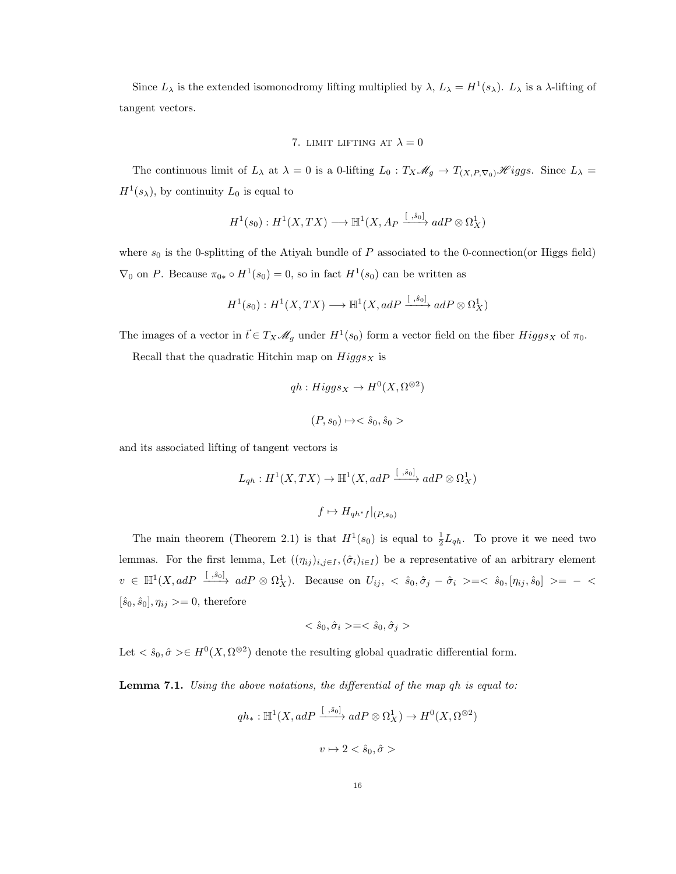Since  $L_\lambda$  is the extended isomonodromy lifting multiplied by  $\lambda$ ,  $L_\lambda = H^1(s_\lambda)$ .  $L_\lambda$  is a  $\lambda$ -lifting of tangent vectors.

7. LIMIT LIFTING AT 
$$
\lambda = 0
$$

The continuous limit of  $L_\lambda$  at  $\lambda = 0$  is a 0-lifting  $L_0 : T_X \mathcal{M}_g \to T_{(X,P,\nabla_0)} \mathcal{H}iggs$ . Since  $L_\lambda =$  $H^1(s_\lambda)$ , by continuity  $L_0$  is equal to

$$
H^1(s_0): H^1(X,TX) \longrightarrow \mathbb{H}^1(X, A_P \xrightarrow{[~, \hat{s}_0] } adP \otimes \Omega^1_X)
$$

where  $s_0$  is the 0-splitting of the Atiyah bundle of P associated to the 0-connection(or Higgs field)  $\nabla_0$  on P. Because  $\pi_{0*} \circ H^1(s_0) = 0$ , so in fact  $H^1(s_0)$  can be written as

$$
H^1(s_0) : H^1(X, TX) \longrightarrow \mathbb{H}^1(X, adP \xrightarrow{[ , \hat{s}_0 ]} adP \otimes \Omega^1_X)
$$

The images of a vector in  $\vec{t} \in T_X \mathscr{M}_g$  under  $H^1(s_0)$  form a vector field on the fiber  $Higgs_X$  of  $\pi_0$ .

Recall that the quadratic Hitchin map on  $Higgs_X$  is

$$
qh: Higgs_X \to H^0(X, \Omega^{\otimes 2})
$$
  

$$
(P, s_0) \mapsto \hat{s}_0, \hat{s}_0 >
$$

and its associated lifting of tangent vectors is

$$
L_{qh}: H^1(X, TX) \to \mathbb{H}^1(X, adP \xrightarrow{[ , \hat{s}_0 ]} adP \otimes \Omega^1_X)
$$
  

$$
f \mapsto H_{qh^*f}|_{(P, s_0)}
$$

The main theorem (Theorem 2.1) is that  $H^1(s_0)$  is equal to  $\frac{1}{2}L_{qh}$ . To prove it we need two lemmas. For the first lemma, Let  $((\eta_{ij})_{i,j\in I},(\hat{\sigma}_i)_{i\in I})$  be a representative of an arbitrary element  $v \in \mathbb{H}^1(X, adP \xrightarrow{[. \hat{s}_0]} adP \otimes \Omega^1_X)$ . Because on  $U_{ij}$ ,  $\langle \hat{s}_0, \hat{\sigma}_j - \hat{\sigma}_i \rangle = \langle \hat{s}_0, [\eta_{ij}, \hat{s}_0] \rangle = - \langle \hat{s}_0, [\eta_{ij}, \hat{s}_0] \rangle$  $[\hat{s}_0, \hat{s}_0], \eta_{ij} \geq 0$ , therefore

$$
\langle \hat s_0, \hat \sigma_i \rangle = \langle \hat s_0, \hat \sigma_j \rangle
$$

Let  $\langle \hat{s}_0, \hat{\sigma} \rangle \in H^0(X, \Omega^{\otimes 2})$  denote the resulting global quadratic differential form.

Lemma 7.1. Using the above notations, the differential of the map qh is equal to:

$$
qh_* : \mathbb{H}^1(X, adP \xrightarrow{[~, \hat{s}_0] } adP \otimes \Omega^1_X) \to H^0(X, \Omega^{\otimes 2})
$$
  

$$
v \mapsto 2 < \hat{s}_0, \hat{\sigma} >
$$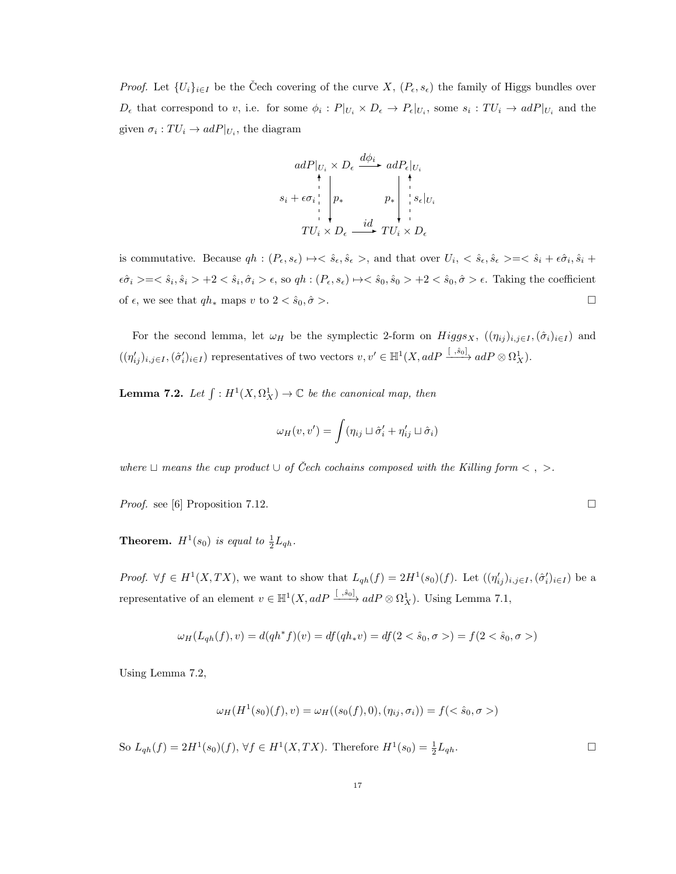*Proof.* Let  $\{U_i\}_{i\in I}$  be the Čech covering of the curve  $X, (P_{\epsilon}, s_{\epsilon})$  the family of Higgs bundles over  $D_{\epsilon}$  that correspond to v, i.e. for some  $\phi_i : P|_{U_i} \times D_{\epsilon} \to P_{\epsilon}|_{U_i}$ , some  $s_i : TU_i \to adP|_{U_i}$  and the given  $\sigma_i: TU_i \to adP|_{U_i}$ , the diagram

$$
adP|_{U_i} \times D_{\epsilon} \xrightarrow{d\phi_i} adP_{\epsilon}|_{U_i}
$$
\n
$$
s_i + \epsilon \sigma_i \bigg|_{U_i} p_* \qquad p_* \bigg|_{U_i} \bigg|_{S_{\epsilon}|_{U_i}}
$$
\n
$$
TU_i \times D_{\epsilon} \xrightarrow{id} TU_i \times D_{\epsilon}
$$

is commutative. Because  $qh: (P_{\epsilon}, s_{\epsilon}) \mapsto \langle \hat{s}_{\epsilon}, \hat{s}_{\epsilon} \rangle$ , and that over  $U_i, \langle \hat{s}_{\epsilon}, \hat{s}_{\epsilon} \rangle = \langle \hat{s}_i + \epsilon \hat{\sigma}_i, \hat{s}_i + \hat{s}_{\epsilon} \rangle$  $\epsilon \hat{\sigma}_i \geq = \langle \hat{s}_i, \hat{s}_i \rangle + 2 \langle \hat{s}_i, \hat{\sigma}_i \rangle \epsilon, \text{ so } qh : (P_{\epsilon}, s_{\epsilon}) \mapsto \langle \hat{s}_0, \hat{s}_0 \rangle + 2 \langle \hat{s}_0, \hat{\sigma} \rangle \epsilon.$  Taking the coefficient of  $\epsilon$ , we see that  $q h_*$  maps v to  $2 < \hat{s}_0, \hat{\sigma} >$ .

For the second lemma, let  $\omega_H$  be the symplectic 2-form on  $Higgs_X$ ,  $((\eta_{ij})_{i,j\in I},(\hat{\sigma}_i)_{i\in I})$  and  $((\eta'_{ij})_{i,j\in I},(\hat{\sigma}'_i)_{i\in I})$  representatives of two vectors  $v, v' \in \mathbb{H}^1(X, adP \xrightarrow{[~, \hat{s}_0]} adP \otimes \Omega^1_X)$ .

**Lemma 7.2.** Let  $\int : H^1(X, \Omega_X^1) \to \mathbb{C}$  be the canonical map, then

$$
\omega_H(v, v') = \int (\eta_{ij} \sqcup \hat{\sigma}'_i + \eta'_{ij} \sqcup \hat{\sigma}_i)
$$

where  $\sqcup$  means the cup product  $\cup$  of Čech cochains composed with the Killing form <  $,$  >.

*Proof.* see [6] Proposition 7.12.

**Theorem.**  $H^1(s_0)$  is equal to  $\frac{1}{2}L_{qh}$ .

*Proof.*  $\forall f \in H^1(X,TX)$ , we want to show that  $L_{qh}(f) = 2H^1(s_0)(f)$ . Let  $((\eta'_{ij})_{i,j\in I}, (\hat{\sigma}'_i)_{i\in I})$  be a representative of an element  $v \in \mathbb{H}^1(X, adP \xrightarrow{[ , \hat{s}_0 ]} adP \otimes \Omega_X^1)$ . Using Lemma 7.1,

$$
\omega_H(L_{qh}(f), v) = d(qh^*f)(v) = df(qh_*v) = df(2 < \hat{s}_0, \sigma>) = f(2 < \hat{s}_0, \sigma>)
$$

Using Lemma 7.2,

$$
\omega_H(H^1(s_0)(f), v) = \omega_H((s_0(f), 0), (\eta_{ij}, \sigma_i)) = f(<\hat{s}_0, \sigma>)
$$

So  $L_{qh}(f) = 2H^1(s_0)(f)$ ,  $\forall f \in H^1(X, TX)$ . Therefore  $H^1(s_0) = \frac{1}{2}L_{qh}$ .